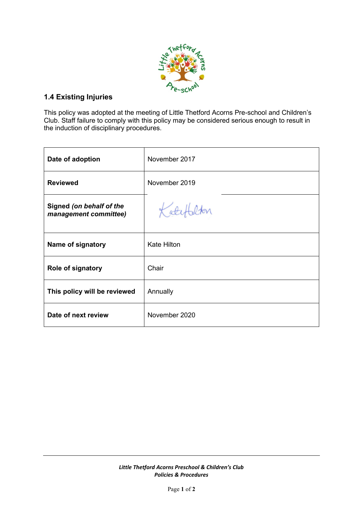

# **1.4 Existing Injuries**

This policy was adopted at the meeting of Little Thetford Acorns Pre-school and Children's Club. Staff failure to comply with this policy may be considered serious enough to result in the induction of disciplinary procedures.

| Date of adoption                                  | November 2017      |
|---------------------------------------------------|--------------------|
| <b>Reviewed</b>                                   | November 2019      |
| Signed (on behalf of the<br>management committee) | Katefalton         |
| Name of signatory                                 | <b>Kate Hilton</b> |
| Role of signatory                                 | Chair              |
| This policy will be reviewed                      | Annually           |
| Date of next review                               | November 2020      |